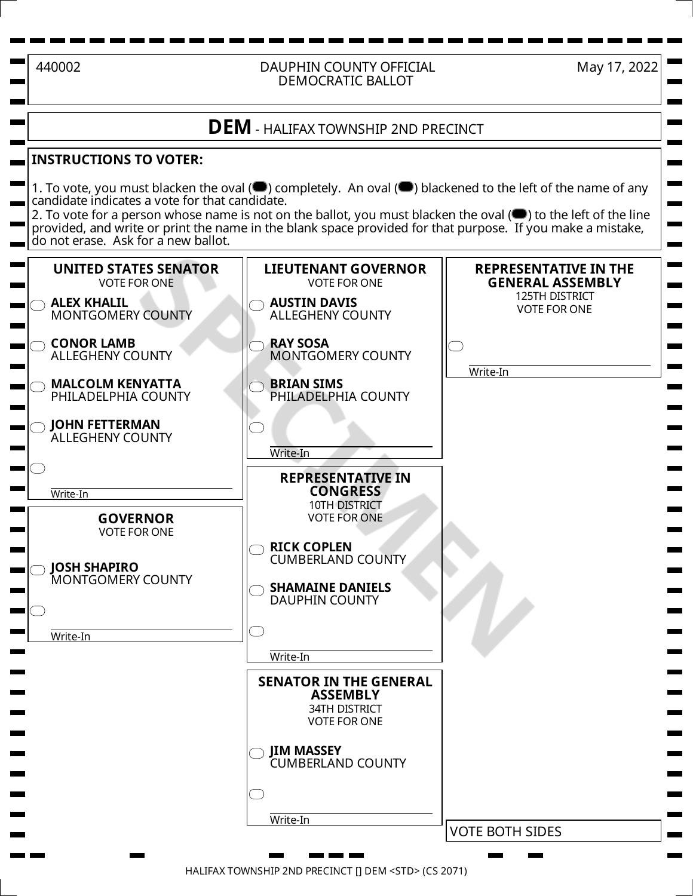## 440002 DAUPHIN COUNTY OFFICIAL DEMOCRATIC BALLOT

May 17, 2022

## **DEM** - HALIFAX TOWNSHIP 2ND PRECINCT

## **INSTRUCTIONS TO VOTER:**

1. To vote, you must blacken the oval ( $\blacksquare$ ) completely. An oval ( $\blacksquare$ ) blackened to the left of the name of any candidate indicates a vote for that candidate.

2. To vote for a person whose name is not on the ballot, you must blacken the oval ( $\blacksquare$ ) to the left of the line provided, and write or print the name in the blank space provided for that purpose. If you make a mistake, do not erase. Ask for a new ballot.

| <b>UNITED STATES SENATOR</b><br><b>VOTE FOR ONE</b> | <b>LIEUTENANT GOVERNOR</b><br><b>VOTE FOR ONE</b>                                               | <b>REPRESENTATIVE IN THE</b><br><b>GENERAL ASSEMBLY</b> |
|-----------------------------------------------------|-------------------------------------------------------------------------------------------------|---------------------------------------------------------|
| <b>ALEX KHALIL</b><br><b>MONTGOMERY COUNTY</b>      | <b>AUSTIN DAVIS</b><br><b>ALLEGHENY COUNTY</b>                                                  | 125TH DISTRICT<br><b>VOTE FOR ONE</b>                   |
| <b>CONOR LAMB</b><br><b>ALLEGHENY COUNTY</b>        | <b>RAY SOSA</b><br><b>MONTGOMERY COUNTY</b>                                                     | Write-In                                                |
| <b>MALCOLM KENYATTA</b><br>PHILADELPHIA COUNTY      | <b>BRIAN SIMS</b><br>PHILADELPHIA COUNTY                                                        |                                                         |
| <b>JOHN FETTERMAN</b><br>ALLEGHENY COUNTY           | Write-In                                                                                        |                                                         |
| Write-In                                            | <b>REPRESENTATIVE IN</b><br><b>CONGRESS</b>                                                     |                                                         |
| <b>GOVERNOR</b><br><b>VOTE FOR ONE</b>              | 10TH DISTRICT<br><b>VOTE FOR ONE</b><br><b>RICK COPLEN</b>                                      |                                                         |
| <b>JOSH SHAPIRO</b><br>MONTGOMERY COUNTY            | <b>CUMBERLAND COUNTY</b><br><b>SHAMAINE DANIELS</b><br><b>DAUPHIN COUNTY</b>                    |                                                         |
| Write-In                                            | Write-In                                                                                        |                                                         |
|                                                     | <b>SENATOR IN THE GENERAL</b><br><b>ASSEMBLY</b><br><b>34TH DISTRICT</b><br><b>VOTE FOR ONE</b> |                                                         |
|                                                     | <b>JIM MASSEY</b><br><b>CUMBERLAND COUNTY</b>                                                   |                                                         |
|                                                     | Write-In                                                                                        |                                                         |
|                                                     |                                                                                                 | <b>VOTE BOTH SIDES</b>                                  |